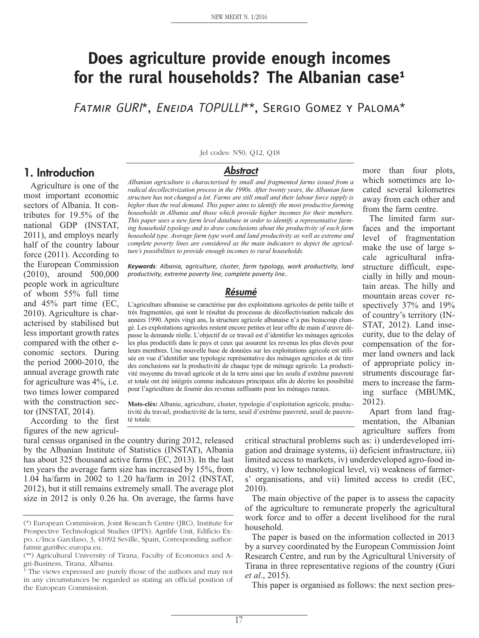# **Does agriculture provide enough incomes for the rural households? The Albanian case1**

FATMIR GURI\*, ENEIDA TOPULLI\*\*, SERGIO GOMEZ Y PALOMA\*

## **1. Introduction**

Agriculture is one of the most important economic sectors of Albania. It contributes for 19.5% of the national GDP (INSTAT, 2011), and employs nearly half of the country labour force (2011). According to the European Commission (2010), around 500,000 people work in agriculture of whom 55% full time and 45% part time (EC, 2010). Agriculture is characterised by stabilised but less important growth rates compared with the other economic sectors. During the period 2000-2010, the annual average growth rate for agriculture was 4%, i.e. two times lower compared with the construction sector (INSTAT, 2014).

According to the first figures of the new agriculJel codes: N50, Q12, Q18

#### **Abstract**

*Albanian agriculture is characterised by small and fragmented farms issued from a radical decollectivization process in the 1990s. After twenty years, the Albanian farm structure has not changed a lot. Farms are still small and their labour force supply is higher than the real demand. This paper aims to identify the most productive farming households in Albania and those which provide higher incomes for their members. This paper uses a new farm level database in order to identify a representative farming household typology and to draw conclusions about the productivity of each farm household type. Average farm type work and land productivity as well as extreme and complete poverty lines are considered as the main indicators to depict the agriculture's possibilities to provide enough incomes to rural households.*

*Keywords: Albania, agriculture, cluster, farm typology, work productivity, land productivity, extreme poverty line, complete poverty line..*

#### **Résumé**

L'agriculture albanaise se caractérise par des exploitations agricoles de petite taille et très fragmentées, qui sont le résultat du processus de décollectivisation radicale des années 1990. Après vingt ans, la structure agricole albanaise n'a pas beaucoup changé. Les exploitations agricoles restent encore petites et leur offre de main d'œuvre dépasse la demande réelle. L'objectif de ce travail est d'identifier les ménages agricoles les plus productifs dans le pays et ceux qui assurent les revenus les plus élevés pour leurs membres. Une nouvelle base de données sur les exploitations agricole est utilisée en vue d'identifier une typologie représentative des ménages agricoles et de tirer des conclusions sur la productivité de chaque type de ménage agricole. La productivité moyenne du travail agricole et de la terre ainsi que les seuils d'extrême pauvreté et totale ont été intégrés comme indicateurs principaux afin de décrire les possibilité pour l'agriculture de fournir des revenus suffisants pour les ménages ruraux.

**Mots-clés:** Albanie, agriculture, cluster, typologie d'exploitation agricole, productivité du travail, productivité de la terre, seuil d'extrême pauvreté, seuil de pauvreté totale.

tural census organised in the country during 2012, released by the Albanian Institute of Statistics (INSTAT), Albania has about 325 thousand active farms (EC, 2013). In the last ten years the average farm size has increased by 15%, from 1.04 ha/farm in 2002 to 1.20 ha/farm in 2012 (INSTAT, 2012), but it still remains extremely small. The average plot size in 2012 is only 0.26 ha. On average, the farms have

more than four plots, which sometimes are located several kilometres away from each other and from the farm centre.

The limited farm surfaces and the important level of fragmentation make the use of large scale agricultural infrastructure difficult, especially in hilly and mountain areas. The hilly and mountain areas cover respectively 37% and 19% of country's territory (IN-STAT, 2012). Land insecurity, due to the delay of compensation of the former land owners and lack of appropriate policy instruments discourage farmers to increase the farming surface (MBUMK, 2012).

Apart from land fragmentation, the Albanian agriculture suffers from

critical structural problems such as: i) underdeveloped irrigation and drainage systems, ii) deficient infrastructure, iii) limited access to markets, iv) underdeveloped agro-food industry, v) low technological level, vi) weakness of farmers' organisations, and vii) limited access to credit (EC, 2010).

The main objective of the paper is to assess the capacity of the agriculture to remunerate properly the agricultural work force and to offer a decent livelihood for the rural household.

The paper is based on the information collected in 2013 by a survey coordinated by the European Commission Joint Research Centre, and run by the Agricultural University of Tirana in three representative regions of the country (Guri *et al*., 2015).

This paper is organised as follows: the next section pres-

<sup>(\*)</sup> European Commission, Joint Research Centre (JRC), Institute for Prospective Technological Studies (IPTS), Agrilife Unit, Edificio Expo. c/Inca Garcilaso, 3, 41092 Seville, Spain, Corresponding author: fatmir.guri@ec.europa.eu.

<sup>(\*\*)</sup> Agricultural University of Tirana, Faculty of Economics and Agri-Business, Tirana, Albania.

<sup>&</sup>lt;sup>1</sup> The views expressed are purely those of the authors and may not in any circumstances be regarded as stating an official position of the European Commission.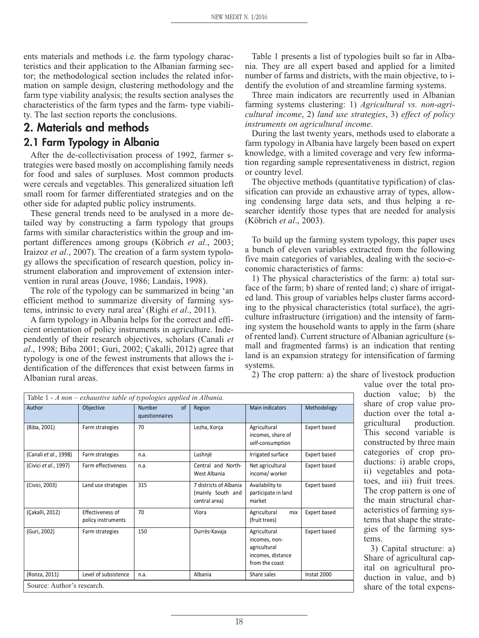ents materials and methods i.e. the farm typology characteristics and their application to the Albanian farming sector; the methodological section includes the related information on sample design, clustering methodology and the farm type viability analysis; the results section analyses the characteristics of the farm types and the farm- type viability. The last section reports the conclusions.

# **2. Materials and methods 2.1 Farm Typology in Albania**

After the de-collectivisation process of 1992, farmer strategies were based mostly on accomplishing family needs for food and sales of surpluses. Most common products were cereals and vegetables. This generalized situation left small room for farmer differentiated strategies and on the other side for adapted public policy instruments.

These general trends need to be analysed in a more detailed way by constructing a farm typology that groups farms with similar characteristics within the group and important differences among groups (Köbrich *et al*., 2003; Iraizoz *et al*., 2007). The creation of a farm system typology allows the specification of research question, policy instrument elaboration and improvement of extension intervention in rural areas (Jouve, 1986; Landais, 1998).

The role of the typology can be summarized in being 'an efficient method to summarize diversity of farming systems, intrinsic to every rural area' (Righi *et al*., 2011).

A farm typology in Albania helps for the correct and efficient orientation of policy instruments in agriculture. Independently of their research objectives, scholars (Canali *et al*., 1998; Biba 2001; Guri, 2002; Çakalli, 2012) agree that typology is one of the fewest instruments that allows the identification of the differences that exist between farms in Albanian rural areas.

Table 1 presents a list of typologies built so far in Albania. They are all expert based and applied for a limited number of farms and districts, with the main objective, to identify the evolution of and streamline farming systems.

Three main indicators are recurrently used in Albanian farming systems clustering: 1) *Agricultural vs. non-agricultural income*, 2) *land use strategies*, 3) *effect of policy instruments on agricultural income*.

During the last twenty years, methods used to elaborate a farm typology in Albania have largely been based on expert knowledge, with a limited coverage and very few information regarding sample representativeness in district, region or country level.

The objective methods (quantitative typification) of classification can provide an exhaustive array of types, allowing condensing large data sets, and thus helping a researcher identify those types that are needed for analysis (Köbrich *et al*., 2003).

To build up the farming system typology, this paper uses a bunch of eleven variables extracted from the following five main categories of variables, dealing with the socio-economic characteristics of farms:

1) The physical characteristics of the farm: a) total surface of the farm; b) share of rented land; c) share of irrigated land. This group of variables helps cluster farms according to the physical characteristics (total surface), the agriculture infrastructure (irrigation) and the intensity of farming system the household wants to apply in the farm (share of rented land). Current structure of Albanian agriculture (small and fragmented farms) is an indication that renting land is an expansion strategy for intensification of farming systems.

2) The crop pattern: a) the share of livestock production

| Table $1 - A$ non – exhaustive table of typologies applied in Albania. |                                        |                                                  |                                                              |                                                                                      |              |  |
|------------------------------------------------------------------------|----------------------------------------|--------------------------------------------------|--------------------------------------------------------------|--------------------------------------------------------------------------------------|--------------|--|
| Author                                                                 | Objective                              | <b>Number</b><br><sub>of</sub><br>questionnaires | Region                                                       | Main indicators                                                                      | Methodology  |  |
| (Biba, 2001)                                                           | Farm strategies                        | 70                                               | Lezha, Korça                                                 | Agricultural<br>incomes, share of<br>self-consumption                                | Expert based |  |
| (Canali et al., 1998)                                                  | Farm strategies                        | n.a.                                             | Lushnjë                                                      | Irrigated surface                                                                    | Expert based |  |
| (Civici et al., 1997)                                                  | <b>Farm effectiveness</b>              | n.a.                                             | Central and North-<br>West Albania                           | Net agricultural<br>income/worker                                                    | Expert based |  |
| (Civici, 2003)                                                         | Land use strategies                    | 315                                              | 7 districts of Albania<br>(mainly South and<br>central area) | Availability to<br>participate in land<br>market                                     | Expert based |  |
| (Çakalli, 2012)                                                        | Effectiveness of<br>policy instruments | 70                                               | Vlora                                                        | Agricultural<br>mix<br>(fruit trees)                                                 | Expert based |  |
| (Guri, 2002)                                                           | Farm strategies                        | 150                                              | Durrës-Kavaja                                                | Agricultural<br>incomes, non-<br>agricultural<br>incomes, distance<br>from the coast | Expert based |  |
| (Ronza, 2011)                                                          | Level of subsistence                   | n.a.                                             | Albania                                                      | Share sales                                                                          | Instat 2000  |  |

value over the total production value; b) the share of crop value production over the total agricultural production. This second variable is constructed by three main categories of crop productions: i) arable crops, ii) vegetables and potatoes, and iii) fruit trees. The crop pattern is one of the main structural characteristics of farming systems that shape the strategies of the farming systems.

3) Capital structure: a) Share of agricultural capital on agricultural production in value, and b) share of the total expens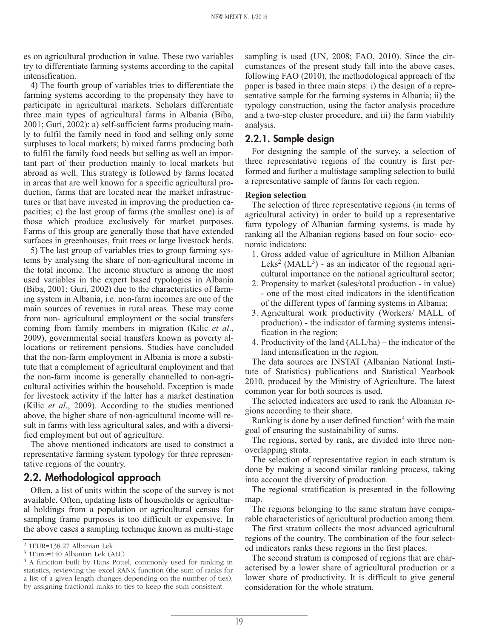es on agricultural production in value. These two variables try to differentiate farming systems according to the capital intensification.

4) The fourth group of variables tries to differentiate the farming systems according to the propensity they have to participate in agricultural markets. Scholars differentiate three main types of agricultural farms in Albania (Biba, 2001; Guri, 2002): a) self-sufficient farms producing mainly to fulfil the family need in food and selling only some surpluses to local markets; b) mixed farms producing both to fulfil the family food needs but selling as well an important part of their production mainly to local markets but abroad as well. This strategy is followed by farms located in areas that are well known for a specific agricultural production, farms that are located near the market infrastructures or that have invested in improving the production capacities; c) the last group of farms (the smallest one) is of those which produce exclusively for market purposes. Farms of this group are generally those that have extended surfaces in greenhouses, fruit trees or large livestock herds.

5) The last group of variables tries to group farming systems by analysing the share of non-agricultural income in the total income. The income structure is among the most used variables in the expert based typologies in Albania (Biba, 2001; Guri, 2002) due to the characteristics of farming system in Albania, i.e. non-farm incomes are one of the main sources of revenues in rural areas. These may come from non- agricultural employment or the social transfers coming from family members in migration (Kilic *et al*., 2009), governmental social transfers known as poverty allocations or retirement pensions. Studies have concluded that the non-farm employment in Albania is more a substitute that a complement of agricultural employment and that the non-farm income is generally channelled to non-agricultural activities within the household. Exception is made for livestock activity if the latter has a market destination (Kilic *et al*., 2009). According to the studies mentioned above, the higher share of non-agricultural income will result in farms with less agricultural sales, and with a diversified employment but out of agriculture.

The above mentioned indicators are used to construct a representative farming system typology for three representative regions of the country.

### **2.2. Methodological approach**

Often, a list of units within the scope of the survey is not available. Often, updating lists of households or agricultural holdings from a population or agricultural census for sampling frame purposes is too difficult or expensive. In the above cases a sampling technique known as multi-stage

sampling is used (UN, 2008; FAO, 2010). Since the circumstances of the present study fall into the above cases, following FAO (2010), the methodological approach of the paper is based in three main steps: i) the design of a representative sample for the farming systems in Albania; ii) the typology construction, using the factor analysis procedure and a two-step cluster procedure, and iii) the farm viability analysis.

#### **2.2.1. Sample design**

For designing the sample of the survey, a selection of three representative regions of the country is first performed and further a multistage sampling selection to build a representative sample of farms for each region.

The selection of three representative regions (in terms of agricultural activity) in order to build up a representative farm typology of Albanian farming systems, is made by ranking all the Albanian regions based on four socio- economic indicators:

- 1. Gross added value of agriculture in Million Albanian Leks<sup>2</sup> (MALL<sup>3</sup>) - as an indicator of the regional agricultural importance on the national agricultural sector;
- 2. Propensity to market (sales/total production in value) - one of the most cited indicators in the identification of the different types of farming systems in Albania;
- 3. Agricultural work productivity (Workers/ MALL of production) - the indicator of farming systems intensification in the region;
- 4. Productivity of the land (ALL/ha) the indicator of the land intensification in the region.

The data sources are INSTAT (Albanian National Institute of Statistics) publications and Statistical Yearbook 2010, produced by the Ministry of Agriculture. The latest common year for both sources is used.

The selected indicators are used to rank the Albanian regions according to their share.

Ranking is done by a user defined function<sup>4</sup> with the main goal of ensuring the sustainability of sums.

The regions, sorted by rank, are divided into three nonoverlapping strata.

The selection of representative region in each stratum is done by making a second similar ranking process, taking into account the diversity of production.

The regional stratification is presented in the following map.

The regions belonging to the same stratum have comparable characteristics of agricultural production among them.

The first stratum collects the most advanced agricultural regions of the country. The combination of the four selected indicators ranks these regions in the first places.

The second stratum is composed of regions that are characterised by a lower share of agricultural production or a lower share of productivity. It is difficult to give general consideration for the whole stratum.

<sup>2</sup> 1EUR=138.27 Albanian Lek

<sup>3</sup> 1Euro=140 Albanian Lek (ALL)

<sup>&</sup>lt;sup>4</sup> A function built by Hans Pottel, commonly used for ranking in statistics, reviewing the excel RANK function (the sum of ranks for a list of a given length changes depending on the number of ties), by assigning fractional ranks to ties to keep the sum consistent.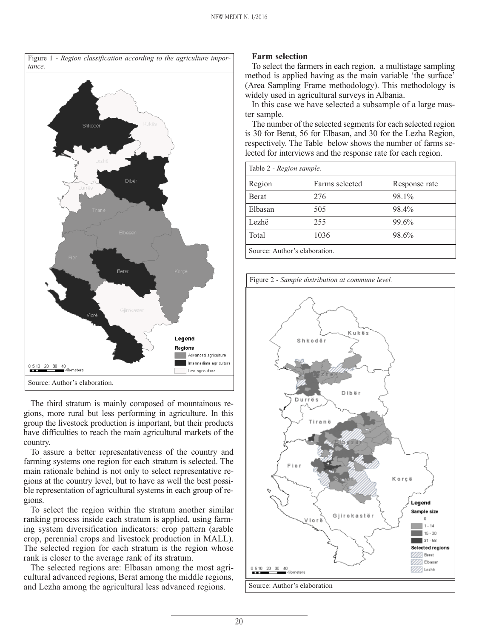

The third stratum is mainly composed of mountainous regions, more rural but less performing in agriculture. In this group the livestock production is important, but their products have difficulties to reach the main agricultural markets of the country.

To assure a better representativeness of the country and farming systems one region for each stratum is selected. The main rationale behind is not only to select representative regions at the country level, but to have as well the best possible representation of agricultural systems in each group of regions.

To select the region within the stratum another similar ranking process inside each stratum is applied, using farming system diversification indicators: crop pattern (arable crop, perennial crops and livestock production in MALL). The selected region for each stratum is the region whose rank is closer to the average rank of its stratum.

The selected regions are: Elbasan among the most agricultural advanced regions, Berat among the middle regions, and Lezha among the agricultural less advanced regions.

#### **Farm selection**

To select the farmers in each region, a multistage sampling method is applied having as the main variable 'the surface' (Area Sampling Frame methodology). This methodology is widely used in agricultural surveys in Albania.

In this case we have selected a subsample of a large master sample.

The number of the selected segments for each selected region is 30 for Berat, 56 for Elbasan, and 30 for the Lezha Region, respectively. The Table below shows the number of farms selected for interviews and the response rate for each region.

| Table 2 - Region sample.      |                |               |  |  |  |  |
|-------------------------------|----------------|---------------|--|--|--|--|
| Region                        | Farms selected | Response rate |  |  |  |  |
| <b>B</b> erat                 | 276            | 98.1%         |  |  |  |  |
| Elbasan                       | 505            | 98.4%         |  |  |  |  |
| Lezhë                         | 255            | 99.6%         |  |  |  |  |
| Total                         | 1036           | 98.6%         |  |  |  |  |
| Source: Author's elaboration. |                |               |  |  |  |  |

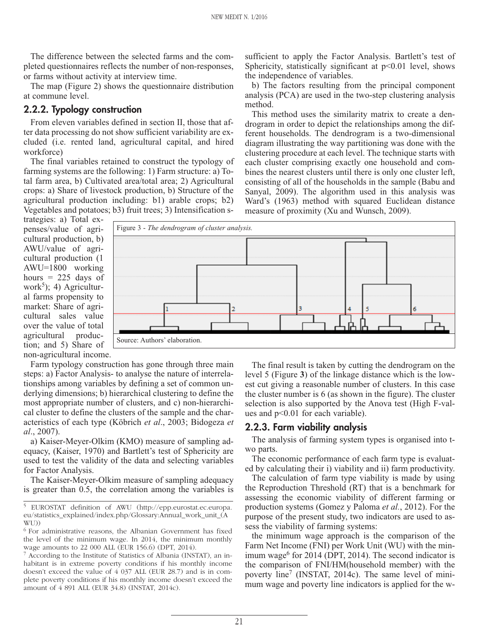The difference between the selected farms and the completed questionnaires reflects the number of non-responses, or farms without activity at interview time.

The map (Figure 2) shows the questionnaire distribution at commune level.

#### **2.2.2. Typology construction**

From eleven variables defined in section II, those that after data processing do not show sufficient variability are excluded (i.e. rented land, agricultural capital, and hired workforce)

The final variables retained to construct the typology of farming systems are the following: 1) Farm structure: a) Total farm area, b) Cultivated area/total area; 2) Agricultural crops: a) Share of livestock production, b) Structure of the agricultural production including: b1) arable crops; b2) Vegetables and potatoes; b3) fruit trees; 3) Intensification ssufficient to apply the Factor Analysis. Bartlett's test of Sphericity, statistically significant at  $p<0.01$  level, shows the independence of variables.

b) The factors resulting from the principal component analysis (PCA) are used in the two-step clustering analysis method.

This method uses the similarity matrix to create a dendrogram in order to depict the relationships among the different households. The dendrogram is a two-dimensional diagram illustrating the way partitioning was done with the clustering procedure at each level. The technique starts with each cluster comprising exactly one household and combines the nearest clusters until there is only one cluster left, consisting of all of the households in the sample (Babu and Sanyal, 2009). The algorithm used in this analysis was Ward's (1963) method with squared Euclidean distance measure of proximity (Xu and Wunsch, 2009).

trategies: a) Total expenses/value of agricultural production, b) AWU/value of agricultural production (1 AWU=1800 working hours  $= 225$  days of work<sup>5</sup>); 4) Agricultural farms propensity to market: Share of agricultural sales value over the value of total agricultural production; and 5) Share of non-agricultural income.



Farm typology construction has gone through three main steps: a) Factor Analysis- to analyse the nature of interrelationships among variables by defining a set of common underlying dimensions; b) hierarchical clustering to define the most appropriate number of clusters, and c) non-hierarchical cluster to define the clusters of the sample and the characteristics of each type (Köbrich *et al*., 2003; Bidogeza *et al*., 2007).

a) Kaiser-Meyer-Olkim (KMO) measure of sampling adequacy, (Kaiser, 1970) and Bartlett's test of Sphericity are used to test the validity of the data and selecting variables for Factor Analysis.

The Kaiser-Meyer-Olkim measure of sampling adequacy is greater than 0.5, the correlation among the variables is

6 For administrative reasons, the Albanian Government has fixed the level of the minimum wage. In 2014, the minimum monthly wage amounts to 22 000 ALL (EUR 156.6) (DPT, 2014).

<sup>7</sup> According to the Institute of Statistics of Albania (INSTAT), an inhabitant is in extreme poverty conditions if his monthly income doesn't exceed the value of 4 037 ALL (EUR 28.7) and is in complete poverty conditions if his monthly income doesn't exceed the amount of 4 891 ALL (EUR 34.8) (INSTAT, 2014c).

The final result is taken by cutting the dendrogram on the level 5 (Figure **3**) of the linkage distance which is the lowest cut giving a reasonable number of clusters. In this case the cluster number is 6 (as shown in the figure). The cluster selection is also supported by the Anova test (High F-values and p<0.01 for each variable).

#### **2.2.3. Farm viability analysis**

The analysis of farming system types is organised into two parts.

The economic performance of each farm type is evaluated by calculating their i) viability and ii) farm productivity.

The calculation of farm type viability is made by using the Reproduction Threshold (RT) that is a benchmark for assessing the economic viability of different farming or production systems (Gomez y Paloma *et al.*, 2012). For the purpose of the present study, two indicators are used to assess the viability of farming systems:

the minimum wage approach is the comparison of the Farm Net Income (FNI) per Work Unit (WU) with the minimum wage $^6$  for 2014 (DPT, 2014). The second indicator is the comparison of FNI/HM(household member) with the poverty line<sup>7</sup> (INSTAT, 2014c). The same level of minimum wage and poverty line indicators is applied for the w-

<sup>5</sup> EUROSTAT definition of AWU (http://epp.eurostat.ec.europa. eu/statistics\_explained/index.php/Glossary:Annual\_work\_unit\_(A WU))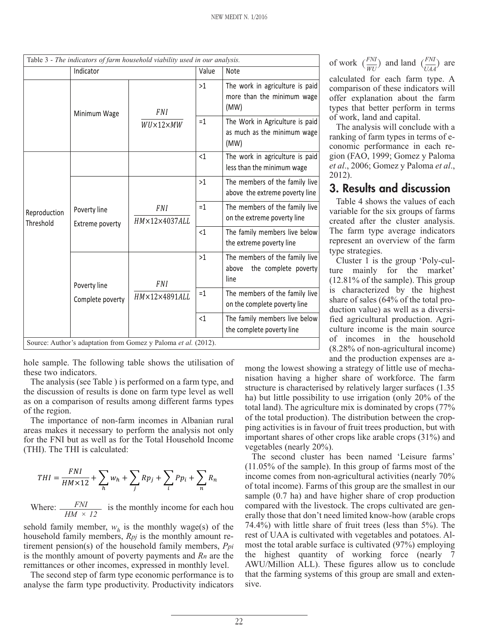|                           |                                 | Table 3 - The indicators of farm household viability used in our analysis. |          |                                                                         |  |  |
|---------------------------|---------------------------------|----------------------------------------------------------------------------|----------|-------------------------------------------------------------------------|--|--|
|                           | Indicator                       |                                                                            | Value    | <b>Note</b>                                                             |  |  |
|                           | Minimum Wage                    | <b>FNI</b>                                                                 | >1       | The work in agriculture is paid<br>more than the minimum wage<br>(MW)   |  |  |
|                           |                                 | $WU\times12\times MW$                                                      | $=1$     | The Work in Agriculture is paid<br>as much as the minimum wage<br>(MW)  |  |  |
| Reproduction<br>Threshold |                                 |                                                                            | $\leq$ 1 | The work in agriculture is paid<br>less than the minimum wage           |  |  |
|                           | Poverty line<br>Extreme poverty |                                                                            | >1       | The members of the family live<br>above the extreme poverty line        |  |  |
|                           |                                 | <b>FNI</b><br>$HM \times 12 \times 4037$ ALL                               | $=1$     | The members of the family live<br>on the extreme poverty line           |  |  |
|                           |                                 |                                                                            | <1       | The family members live below<br>the extreme poverty line               |  |  |
|                           | Poverty line                    | <b>FNI</b>                                                                 | >1       | The members of the family live<br>the complete poverty<br>above<br>line |  |  |
|                           | Complete poverty                | HM×12×4891ALL                                                              | $=1$     | The members of the family live<br>on the complete poverty line          |  |  |
|                           |                                 |                                                                            | <1       | The family members live below<br>the complete poverty line              |  |  |
|                           |                                 | Source: Author's adaptation from Gomez y Paloma et al. (2012).             |          |                                                                         |  |  |

hole sample. The following table shows the utilisation of these two indicators.

The analysis (see Table ) is performed on a farm type, and the discussion of results is done on farm type level as well as on a comparison of results among different farms types of the region.

The importance of non-farm incomes in Albanian rural areas makes it necessary to perform the analysis not only for the FNI but as well as for the Total Household Income (THI). The THI is calculated:

$$
THI = \frac{FNI}{HM \times 12} + \sum_{h} w_h + \sum_{j} Rp_j + \sum_{i} P p_i + \sum_{n} R_n
$$

Where:  $\frac{FNI}{FNI}$  is the monthly income for each hou *HM × 12*

sehold family member,  $w<sub>h</sub>$  is the monthly wage(s) of the household family members, *Rpj* is the monthly amount retirement pension(s) of the household family members, *Ppi* is the monthly amount of poverty payments and *Rn* are the remittances or other incomes, expressed in monthly level.

The second step of farm type economic performance is to analyse the farm type productivity. Productivity indicators

of work  $\left(\frac{FNI}{WU}\right)$  and land  $\left(\frac{FNI}{UAA}\right)$  are

calculated for each farm type. A comparison of these indicators will offer explanation about the farm types that better perform in terms of work, land and capital.

The analysis will conclude with a ranking of farm types in terms of economic performance in each region (FAO, 1999; Gomez y Paloma *et al*., 2006; Gomez y Paloma *et al*., 2012).

# **3. Results and discussion**

Table 4 shows the values of each variable for the six groups of farms created after the cluster analysis. The farm type average indicators represent an overview of the farm type strategies.

Cluster 1 is the group 'Poly-culture mainly for the market' (12.81% of the sample). This group is characterized by the highest share of sales (64% of the total production value) as well as a diversified agricultural production. Agriculture income is the main source of incomes in the household (8.28% of non-agricultural income) and the production expenses are a-

mong the lowest showing a strategy of little use of mechanisation having a higher share of workforce. The farm structure is characterised by relatively larger surfaces (1.35 ha) but little possibility to use irrigation (only 20% of the total land). The agriculture mix is dominated by crops (77% of the total production). The distribution between the cropping activities is in favour of fruit trees production, but with important shares of other crops like arable crops (31%) and vegetables (nearly 20%).

The second cluster has been named 'Leisure farms' (11.05% of the sample). In this group of farms most of the income comes from non-agricultural activities (nearly 70% of total income). Farms of this group are the smallest in our sample  $(0.7 \text{ ha})$  and have higher share of crop production compared with the livestock. The crops cultivated are generally those that don't need limited know-how (arable crops 74.4%) with little share of fruit trees (less than 5%). The rest of UAA is cultivated with vegetables and potatoes. Almost the total arable surface is cultivated (97%) employing the highest quantity of working force (nearly 7 AWU/Million ALL). These figures allow us to conclude that the farming systems of this group are small and extensive.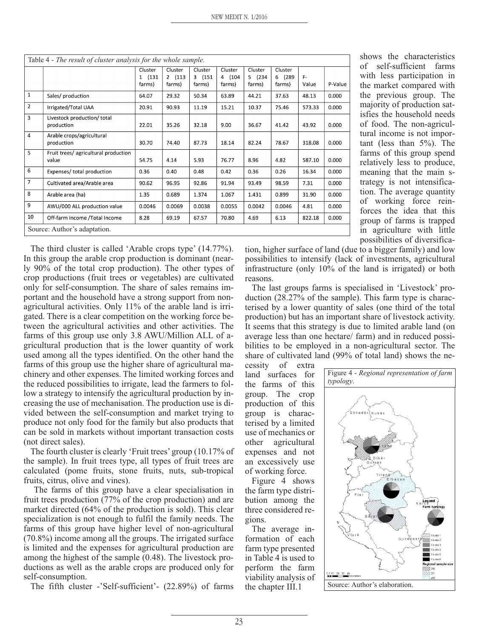| Table 4 - The result of cluster analysis for the whole sample. |                                               |                             |                             |                             |                             |                             |                             |             |         |
|----------------------------------------------------------------|-----------------------------------------------|-----------------------------|-----------------------------|-----------------------------|-----------------------------|-----------------------------|-----------------------------|-------------|---------|
|                                                                |                                               | Cluster<br>1 (131<br>farms) | Cluster<br>2 (113<br>farms) | Cluster<br>3 (151<br>farms) | Cluster<br>4 (104<br>farms) | Cluster<br>5 (234<br>farms) | Cluster<br>6 (289<br>farms) | F-<br>Value | P-Value |
| $\mathbf{1}$                                                   | Sales/ production                             | 64.07                       | 29.32                       | 50.34                       | 63.89                       | 44.21                       | 37.63                       | 48.13       | 0.000   |
| $\overline{2}$                                                 | Irrigated/Total UAA                           | 20.91                       | 90.93                       | 11.19                       | 15.21                       | 10.37                       | 75.46                       | 573.33      | 0.000   |
| $\overline{3}$                                                 | Livestock production/ total<br>production     | 22.01                       | 35.26                       | 32.18                       | 9.00                        | 36.67                       | 41.42                       | 43.92       | 0.000   |
| $\overline{4}$                                                 | Arable crops/agricultural<br>production       | 30.70                       | 74.40                       | 87.73                       | 18.14                       | 82.24                       | 78.67                       | 318.08      | 0.000   |
| 5                                                              | Fruit trees/ agricultural production<br>value | 54.75                       | 4.14                        | 5.93                        | 76.77                       | 8.96                        | 4.82                        | 587.10      | 0.000   |
| 6                                                              | Expenses/ total production                    | 0.36                        | 0.40                        | 0.48                        | 0.42                        | 0.36                        | 0.26                        | 16.34       | 0.000   |
| $\overline{7}$                                                 | Cultivated area/Arable area                   | 90.62                       | 96.95                       | 92.86                       | 91.94                       | 93.49                       | 98.59                       | 7.31        | 0.000   |
| 8                                                              | Arable area (ha)                              | 1.35                        | 0.689                       | 1.374                       | 1.067                       | 1.431                       | 0.899                       | 31.90       | 0.000   |
| 9                                                              | AWU/000 ALL production value                  | 0.0046                      | 0.0069                      | 0.0038                      | 0.0055                      | 0.0042                      | 0.0046                      | 4.81        | 0.000   |
| 10                                                             | Off-farm income /Total Income                 | 8.28                        | 69.19                       | 67.57                       | 70.80                       | 4.69                        | 6.13                        | 822.18      | 0.000   |
|                                                                | Source: Author's adaptation.                  |                             |                             |                             |                             |                             |                             |             |         |

shows the characteristics of self-sufficient farms with less participation in the market compared with the previous group. The majority of production satisfies the household needs of food. The non-agricultural income is not important (less than 5%). The farms of this group spend relatively less to produce, meaning that the main strategy is not intensification. The average quantity of working force reinforces the idea that this group of farms is trapped in agriculture with little possibilities of diversifica-

The third cluster is called 'Arable crops type' (14.77%). In this group the arable crop production is dominant (nearly 90% of the total crop production). The other types of crop productions (fruit trees or vegetables) are cultivated only for self-consumption. The share of sales remains important and the household have a strong support from nonagricultural activities. Only 11% of the arable land is irrigated. There is a clear competition on the working force between the agricultural activities and other activities. The farms of this group use only 3.8 AWU/Million ALL of agricultural production that is the lower quantity of work used among all the types identified. On the other hand the farms of this group use the higher share of agricultural machinery and other expenses. The limited working forces and the reduced possibilities to irrigate, lead the farmers to follow a strategy to intensify the agricultural production by increasing the use of mechanisation. The production use is divided between the self-consumption and market trying to produce not only food for the family but also products that can be sold in markets without important transaction costs (not direct sales).

The fourth cluster is clearly 'Fruit trees' group (10.17% of the sample). In fruit trees type, all types of fruit trees are calculated (pome fruits, stone fruits, nuts, sub-tropical fruits, citrus, olive and vines).

The farms of this group have a clear specialisation in fruit trees production (77% of the crop production) and are market directed (64% of the production is sold). This clear specialization is not enough to fulfil the family needs. The farms of this group have higher level of non-agricultural (70.8%) income among all the groups. The irrigated surface is limited and the expenses for agricultural production are among the highest of the sample (0.48). The livestock productions as well as the arable crops are produced only for self-consumption.

The fifth cluster -'Self-sufficient'- (22.89%) of farms

tion, higher surface of land (due to a bigger family) and low possibilities to intensify (lack of investments, agricultural infrastructure (only 10% of the land is irrigated) or both reasons.

The last groups farms is specialised in 'Livestock' production (28.27% of the sample). This farm type is characterised by a lower quantity of sales (one third of the total production) but has an important share of livestock activity. It seems that this strategy is due to limited arable land (on average less than one hectare/ farm) and in reduced possibilities to be employed in a non-agricultural sector. The share of cultivated land (99% of total land) shows the ne-

cessity of extra land surfaces for the farms of this group. The crop production of this group is characterised by a limited use of mechanics or other agricultural expenses and not an excessively use of working force.

Figure 4 shows the farm type distribution among the three considered regions.

The average information of each farm type presented in Table 4 is used to perform the farm viability analysis of the chapter III.1

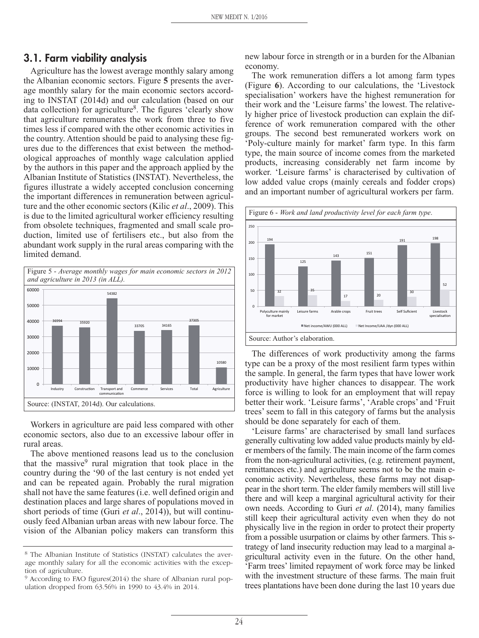#### **3.1. Farm viability analysis**

Agriculture has the lowest average monthly salary among the Albanian economic sectors. Figure **5** presents the average monthly salary for the main economic sectors according to INSTAT (2014d) and our calculation (based on our data collection) for agriculture<sup>8</sup>. The figures 'clearly show that agriculture remunerates the work from three to five times less if compared with the other economic activities in the country. Attention should be paid to analysing these figures due to the differences that exist between the methodological approaches of monthly wage calculation applied by the authors in this paper and the approach applied by the Albanian Institute of Statistics (INSTAT). Nevertheless, the figures illustrate a widely accepted conclusion concerning the important differences in remuneration between agriculture and the other economic sectors (Kilic *et al*., 2009). This is due to the limited agricultural worker efficiency resulting from obsolete techniques, fragmented and small scale production, limited use of fertilisers etc., but also from the abundant work supply in the rural areas comparing with the limited demand.



Workers in agriculture are paid less compared with other economic sectors, also due to an excessive labour offer in rural areas.

The above mentioned reasons lead us to the conclusion that the massive $9$  rural migration that took place in the country during the '90 of the last century is not ended yet and can be repeated again. Probably the rural migration shall not have the same features (i.e. well defined origin and destination places and large shares of populations moved in short periods of time (Guri *et al*., 2014)), but will continuously feed Albanian urban areas with new labour force. The vision of the Albanian policy makers can transform this new labour force in strength or in a burden for the Albanian economy.

The work remuneration differs a lot among farm types (Figure **6**). According to our calculations, the 'Livestock specialisation' workers have the highest remuneration for their work and the 'Leisure farms' the lowest. The relatively higher price of livestock production can explain the difference of work remuneration compared with the other groups. The second best remunerated workers work on 'Poly-culture mainly for market' farm type. In this farm type, the main source of income comes from the marketed products, increasing considerably net farm income by worker. 'Leisure farms' is characterised by cultivation of low added value crops (mainly cereals and fodder crops) and an important number of agricultural workers per farm.



The differences of work productivity among the farms type can be a proxy of the most resilient farm types within the sample. In general, the farm types that have lower work productivity have higher chances to disappear. The work force is willing to look for an employment that will repay better their work. 'Leisure farms', 'Arable crops' and 'Fruit trees' seem to fall in this category of farms but the analysis should be done separately for each of them.

'Leisure farms' are characterised by small land surfaces generally cultivating low added value products mainly by elder members of the family. The main income of the farm comes from the non-agricultural activities, (e.g. retirement payment, remittances etc.) and agriculture seems not to be the main economic activity. Nevertheless, these farms may not disappear in the short term. The elder family members will still live there and will keep a marginal agricultural activity for their own needs. According to Guri *et al*. (2014), many families still keep their agricultural activity even when they do not physically live in the region in order to protect their property from a possible usurpation or claims by other farmers. This strategy of land insecurity reduction may lead to a marginal agricultural activity even in the future. On the other hand, 'Farm trees' limited repayment of work force may be linked with the investment structure of these farms. The main fruit trees plantations have been done during the last 10 years due

<sup>8</sup> The Albanian Institute of Statistics (INSTAT) calculates the average monthly salary for all the economic activities with the exception of agriculture.

<sup>9</sup> According to FAO figures(2014) the share of Albanian rural population dropped from 63.56% in 1990 to 43.4% in 2014.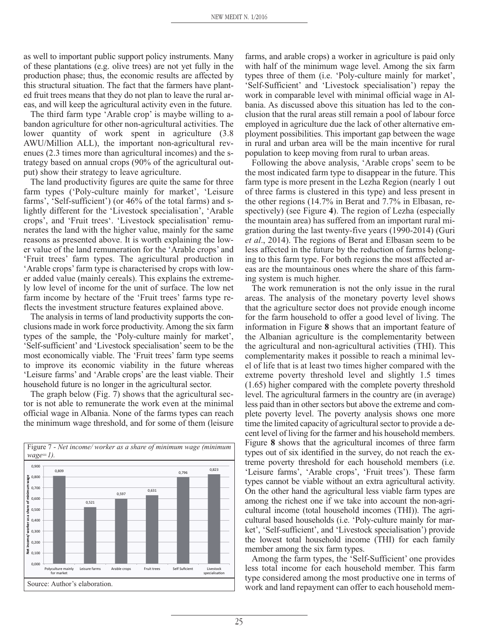as well to important public support policy instruments. Many of these plantations (e.g. olive trees) are not yet fully in the production phase; thus, the economic results are affected by this structural situation. The fact that the farmers have planted fruit trees means that they do not plan to leave the rural areas, and will keep the agricultural activity even in the future.

The third farm type 'Arable crop' is maybe willing to abandon agriculture for other non-agricultural activities. The lower quantity of work spent in agriculture  $(3.8)$ AWU/Million ALL), the important non-agricultural revenues (2.3 times more than agricultural incomes) and the strategy based on annual crops (90% of the agricultural output) show their strategy to leave agriculture.

The land productivity figures are quite the same for three farm types ('Poly-culture mainly for market', 'Leisure farms', 'Self-sufficient') (or 46% of the total farms) and slightly different for the 'Livestock specialisation', 'Arable crops', and 'Fruit trees'. 'Livestock specialisation' remunerates the land with the higher value, mainly for the same reasons as presented above. It is worth explaining the lower value of the land remuneration for the 'Arable crops' and 'Fruit trees' farm types. The agricultural production in 'Arable crops' farm type is characterised by crops with lower added value (mainly cereals). This explains the extremely low level of income for the unit of surface. The low net farm income by hectare of the 'Fruit trees' farms type reflects the investment structure features explained above.

The analysis in terms of land productivity supports the conclusions made in work force productivity. Among the six farm types of the sample, the 'Poly-culture mainly for market', 'Self-sufficient' and 'Livestock specialisation' seem to be the most economically viable. The 'Fruit trees' farm type seems to improve its economic viability in the future whereas 'Leisure farms' and 'Arable crops' are the least viable. Their household future is no longer in the agricultural sector.

The graph below (Fig. 7) shows that the agricultural sector is not able to remunerate the work even at the minimal official wage in Albania. None of the farms types can reach the minimum wage threshold, and for some of them (leisure



farms, and arable crops) a worker in agriculture is paid only with half of the minimum wage level. Among the six farm types three of them (i.e. 'Poly-culture mainly for market', 'Self-Sufficient' and 'Livestock specialisation') repay the work in comparable level with minimal official wage in Albania. As discussed above this situation has led to the conclusion that the rural areas still remain a pool of labour force employed in agriculture due the lack of other alternative employment possibilities. This important gap between the wage in rural and urban area will be the main incentive for rural population to keep moving from rural to urban areas.

Following the above analysis, 'Arable crops' seem to be the most indicated farm type to disappear in the future. This farm type is more present in the Lezha Region (nearly 1 out of three farms is clustered in this type) and less present in the other regions (14.7% in Berat and 7.7% in Elbasan, respectively) (see Figure **4**). The region of Lezha (especially the mountain area) has suffered from an important rural migration during the last twenty-five years (1990-2014) (Guri *et al*., 2014). The regions of Berat and Elbasan seem to be less affected in the future by the reduction of farms belonging to this farm type. For both regions the most affected areas are the mountainous ones where the share of this farming system is much higher.

The work remuneration is not the only issue in the rural areas. The analysis of the monetary poverty level shows that the agriculture sector does not provide enough income for the farm household to offer a good level of living. The information in Figure **8** shows that an important feature of the Albanian agriculture is the complementarity between the agricultural and non-agricultural activities (THI). This complementarity makes it possible to reach a minimal level of life that is at least two times higher compared with the extreme poverty threshold level and slightly 1.5 times (1.65) higher compared with the complete poverty threshold level. The agricultural farmers in the country are (in average) less paid than in other sectors but above the extreme and complete poverty level. The poverty analysis shows one more time the limited capacity of agricultural sector to provide a decent level of living for the farmer and his household members. Figure **8** shows that the agricultural incomes of three farm types out of six identified in the survey, do not reach the extreme poverty threshold for each household members (i.e. 'Leisure farms', 'Arable crops', 'Fruit trees'). These farm types cannot be viable without an extra agricultural activity. On the other hand the agricultural less viable farm types are among the richest one if we take into account the non-agricultural income (total household incomes (THI)). The agricultural based households (i.e. 'Poly-culture mainly for market', 'Self-sufficient', and 'Livestock specialisation') provide the lowest total household income (THI) for each family member among the six farm types.

Among the farm types, the 'Self-Sufficient' one provides less total income for each household member. This farm type considered among the most productive one in terms of work and land repayment can offer to each household mem-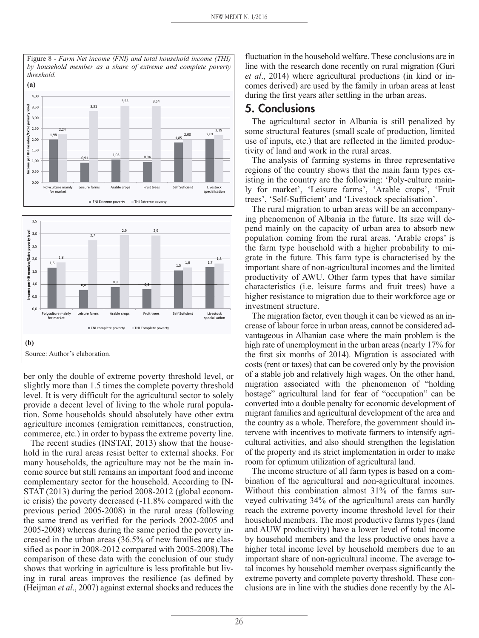



ber only the double of extreme poverty threshold level, or slightly more than 1.5 times the complete poverty threshold level. It is very difficult for the agricultural sector to solely provide a decent level of living to the whole rural population. Some households should absolutely have other extra agriculture incomes (emigration remittances, construction, commerce, etc.) in order to bypass the extreme poverty line.

The recent studies (INSTAT, 2013) show that the household in the rural areas resist better to external shocks. For many households, the agriculture may not be the main income source but still remains an important food and income complementary sector for the household. According to IN-STAT (2013) during the period 2008-2012 (global economic crisis) the poverty decreased (-11.8% compared with the previous period 2005-2008) in the rural areas (following the same trend as verified for the periods 2002-2005 and 2005-2008) whereas during the same period the poverty increased in the urban areas (36.5% of new families are classified as poor in 2008-2012 compared with 2005-2008).The comparison of these data with the conclusion of our study shows that working in agriculture is less profitable but living in rural areas improves the resilience (as defined by (Heijman *et al*., 2007) against external shocks and reduces the

fluctuation in the household welfare. These conclusions are in line with the research done recently on rural migration (Guri *et al*., 2014) where agricultural productions (in kind or incomes derived) are used by the family in urban areas at least during the first years after settling in the urban areas.

#### **5. Conclusions**

The agricultural sector in Albania is still penalized by some structural features (small scale of production, limited use of inputs, etc.) that are reflected in the limited productivity of land and work in the rural areas.

The analysis of farming systems in three representative regions of the country shows that the main farm types existing in the country are the following: 'Poly-culture mainly for market', 'Leisure farms', 'Arable crops', 'Fruit trees', 'Self-Sufficient' and 'Livestock specialisation'.

The rural migration to urban areas will be an accompanying phenomenon of Albania in the future. Its size will depend mainly on the capacity of urban area to absorb new population coming from the rural areas. 'Arable crops' is the farm type household with a higher probability to migrate in the future. This farm type is characterised by the important share of non-agricultural incomes and the limited productivity of AWU. Other farm types that have similar characteristics (i.e. leisure farms and fruit trees) have a higher resistance to migration due to their workforce age or investment structure.

The migration factor, even though it can be viewed as an increase of labour force in urban areas, cannot be considered advantageous in Albanian case where the main problem is the high rate of unemployment in the urban areas (nearly 17% for the first six months of 2014). Migration is associated with costs (rent or taxes) that can be covered only by the provision of a stable job and relatively high wages. On the other hand, migration associated with the phenomenon of "holding hostage" agricultural land for fear of "occupation" can be converted into a double penalty for economic development of migrant families and agricultural development of the area and the country as a whole. Therefore, the government should intervene with incentives to motivate farmers to intensify agricultural activities, and also should strengthen the legislation of the property and its strict implementation in order to make room for optimum utilization of agricultural land.

The income structure of all farm types is based on a combination of the agricultural and non-agricultural incomes. Without this combination almost 31% of the farms surveyed cultivating 34% of the agricultural areas can hardly reach the extreme poverty income threshold level for their household members. The most productive farms types (land and AUW productivity) have a lower level of total income by household members and the less productive ones have a higher total income level by household members due to an important share of non-agricultural income. The average total incomes by household member overpass significantly the extreme poverty and complete poverty threshold. These conclusions are in line with the studies done recently by the Al-